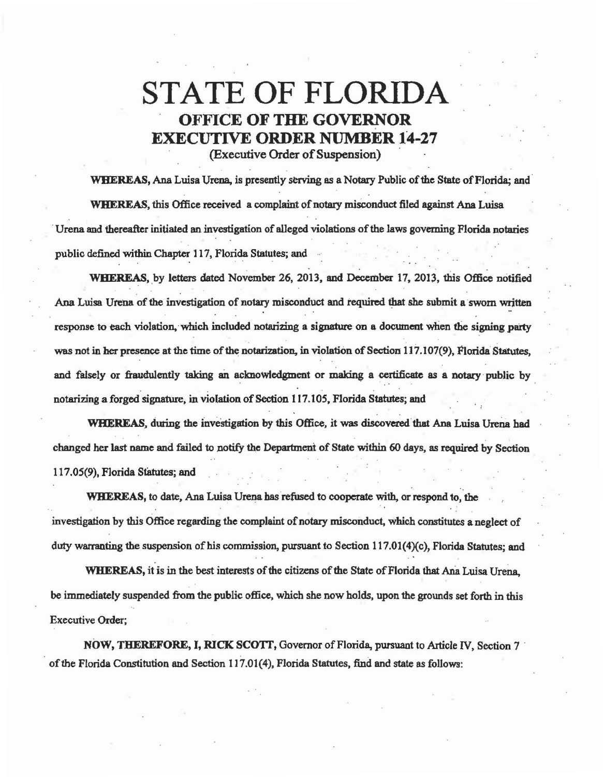## STATE OF FLORIDA OFFICE OF THE GOVERNOR EXECUTIVE ORDER NUMBER f4-27 (Executive Order of Suspension)

WHEREAS, Ana Luisa Urena, is presently serving as a Notary Public of the State of Florida; and WHEREAS, this Office received a complaint of notary misconduct filed against Ana Luisa ·Urena and thereafter initiated en investigation of alleged violations of the laws governing Florida notaries public defined within Chapter 117, Florida Statutes; and

WHEREAS, by letters dated November 26, 2013, and December 17, 2013, this Office notified . . Ana Luisa Urena of the investigation of notary misconduct and required that she submit a swom written response to each violation, which included notarizing a signature on a document when the signing party was not in her presence at the time of the notarization, in violation of Section 117.107(9), Florida Statutes, and falsely or fraudulently taking an acknowledgment or making a certificate as a notary public by notarizing a forged signature, in violation of section 117.IOS, Florida Statutes; and

WHEREAS, during the investigation by this Office, it was discovered that Ana Luisa Urena had changed her last name and failed to notify the Department of State within 60 days, as required by Section 117.05(9), Florida Statutes; and

WHEREAS, to date, Ana Luisa Urena has refused to cooperate with, or respond to, the investigation by this Office regarding the complaint of notary misconduct, which constitutes a neglect of duty warranting the suspension of his commission, pursuant to Section 117.01(4)(c), Florida Statutes; and

WHEREAS, it is in the best interests of the citizens of the State of Florida that Ana Luisa Urena. be immediately suspended from the public office, which she now holds, upon the grounds set forth in this Executive Order;

NOW, THEREFORE, I, RICK SCOTT, Governor of Florida, pursuant to Article IV, Section 7 · of the Florida Constitution and Section 117.01(4), Florida Statutes, find and state as follows: